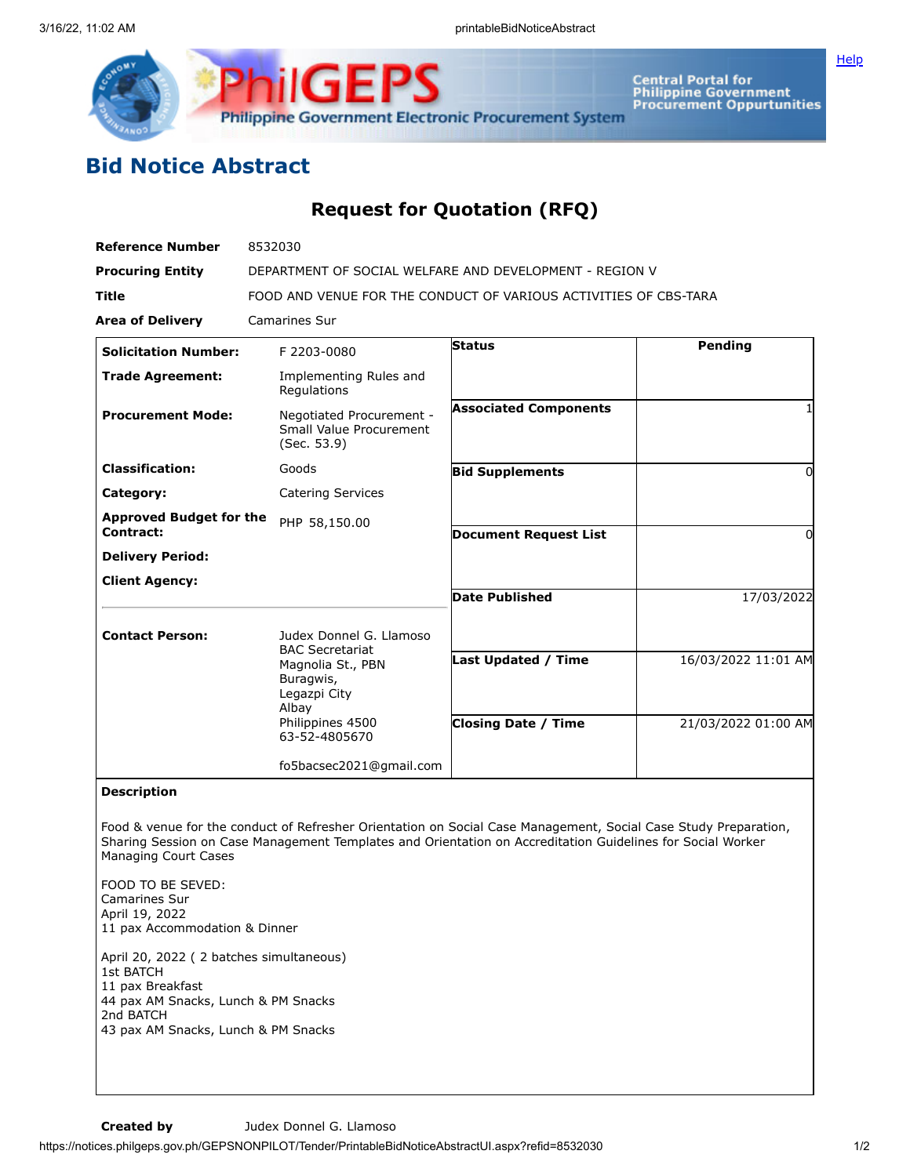

Central Portal for<br>Philippine Government<br>Procurement Oppurtunities

**[Help](javascript:void(window.open()** 

## **Bid Notice Abstract**

## **Request for Quotation (RFQ)**

| <b>Reference Number</b>                     | 8532030                                                            |                              |                     |
|---------------------------------------------|--------------------------------------------------------------------|------------------------------|---------------------|
| <b>Procuring Entity</b>                     | DEPARTMENT OF SOCIAL WELFARE AND DEVELOPMENT - REGION V            |                              |                     |
| <b>Title</b>                                | FOOD AND VENUE FOR THE CONDUCT OF VARIOUS ACTIVITIES OF CBS-TARA   |                              |                     |
| <b>Area of Delivery</b>                     | <b>Camarines Sur</b>                                               |                              |                     |
| <b>Solicitation Number:</b>                 | F 2203-0080                                                        | <b>Status</b>                | Pending             |
| <b>Trade Agreement:</b>                     | Implementing Rules and<br>Regulations                              |                              |                     |
| <b>Procurement Mode:</b>                    | Negotiated Procurement -<br>Small Value Procurement<br>(Sec. 53.9) | <b>Associated Components</b> |                     |
| <b>Classification:</b>                      | Goods                                                              | <b>Bid Supplements</b>       | 0                   |
| Category:                                   | <b>Catering Services</b>                                           |                              |                     |
| <b>Approved Budget for the</b><br>Contract: | PHP 58,150.00                                                      | <b>Document Request List</b> | O                   |
| <b>Delivery Period:</b>                     |                                                                    |                              |                     |
| <b>Client Agency:</b>                       |                                                                    |                              |                     |
|                                             |                                                                    | <b>Date Published</b>        | 17/03/2022          |
| <b>Contact Person:</b>                      | Judex Donnel G. Llamoso<br><b>BAC Secretariat</b>                  |                              |                     |
|                                             | Magnolia St., PBN<br>Buragwis,<br>Legazpi City<br>Albay            | <b>Last Updated / Time</b>   | 16/03/2022 11:01 AM |
|                                             | Philippines 4500<br>63-52-4805670                                  | <b>Closing Date / Time</b>   | 21/03/2022 01:00 AM |
|                                             | fo5bacsec2021@gmail.com                                            |                              |                     |
| <b>Description</b>                          |                                                                    |                              |                     |

**Description**

Food & venue for the conduct of Refresher Orientation on Social Case Management, Social Case Study Preparation, Sharing Session on Case Management Templates and Orientation on Accreditation Guidelines for Social Worker Managing Court Cases

FOOD TO BE SEVED: Camarines Sur April 19, 2022 11 pax Accommodation & Dinner

April 20, 2022 ( 2 batches simultaneous) 1st BATCH 11 pax Breakfast 44 pax AM Snacks, Lunch & PM Snacks 2nd BATCH 43 pax AM Snacks, Lunch & PM Snacks